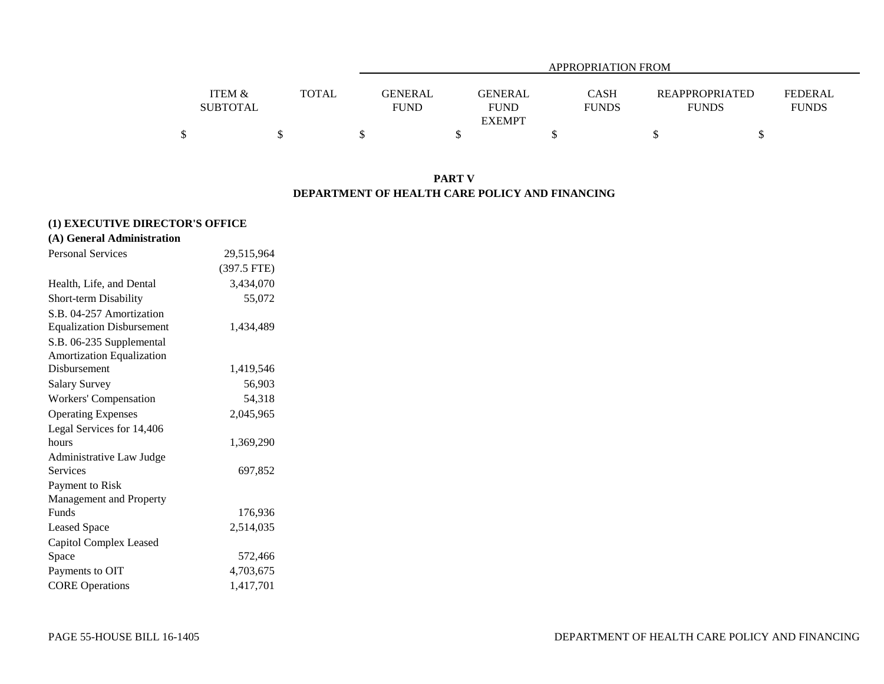|                 |              | APPROPRIATION FROM |                |  |              |                       |                |  |  |  |  |
|-----------------|--------------|--------------------|----------------|--|--------------|-----------------------|----------------|--|--|--|--|
|                 |              |                    |                |  |              |                       |                |  |  |  |  |
| ITEM &          | <b>TOTAL</b> | <b>GENERAL</b>     | <b>GENERAL</b> |  | <b>CASH</b>  | <b>REAPPROPRIATED</b> | <b>FEDERAL</b> |  |  |  |  |
| <b>SUBTOTAL</b> |              | <b>FUND</b>        | <b>FUND</b>    |  | <b>FUNDS</b> | <b>FUNDS</b>          | <b>FUNDS</b>   |  |  |  |  |
|                 |              |                    | <b>EXEMPT</b>  |  |              |                       |                |  |  |  |  |
|                 |              |                    |                |  |              |                       |                |  |  |  |  |

### **PART V DEPARTMENT OF HEALTH CARE POLICY AND FINANCING**

# **(1) EXECUTIVE DIRECTOR'S OFFICE**

| <b>Personal Services</b>         | 29,515,964  |
|----------------------------------|-------------|
|                                  | (397.5 FTE) |
| Health, Life, and Dental         | 3,434,070   |
| Short-term Disability            | 55,072      |
| S.B. 04-257 Amortization         |             |
| <b>Equalization Disbursement</b> | 1,434,489   |
| S.B. 06-235 Supplemental         |             |
| <b>Amortization Equalization</b> |             |
| Disbursement                     | 1,419,546   |
| <b>Salary Survey</b>             | 56,903      |
| Workers' Compensation            | 54,318      |
| <b>Operating Expenses</b>        | 2,045,965   |
| Legal Services for 14,406        |             |
| hours                            | 1,369,290   |
| Administrative Law Judge         |             |
| Services                         | 697,852     |
| Payment to Risk                  |             |
| Management and Property          |             |
| Funds                            | 176,936     |
| <b>Leased Space</b>              | 2,514,035   |
| <b>Capitol Complex Leased</b>    |             |
| Space                            | 572,466     |
| Payments to OIT                  | 4,703,675   |
| <b>CORE</b> Operations           | 1,417,701   |
|                                  |             |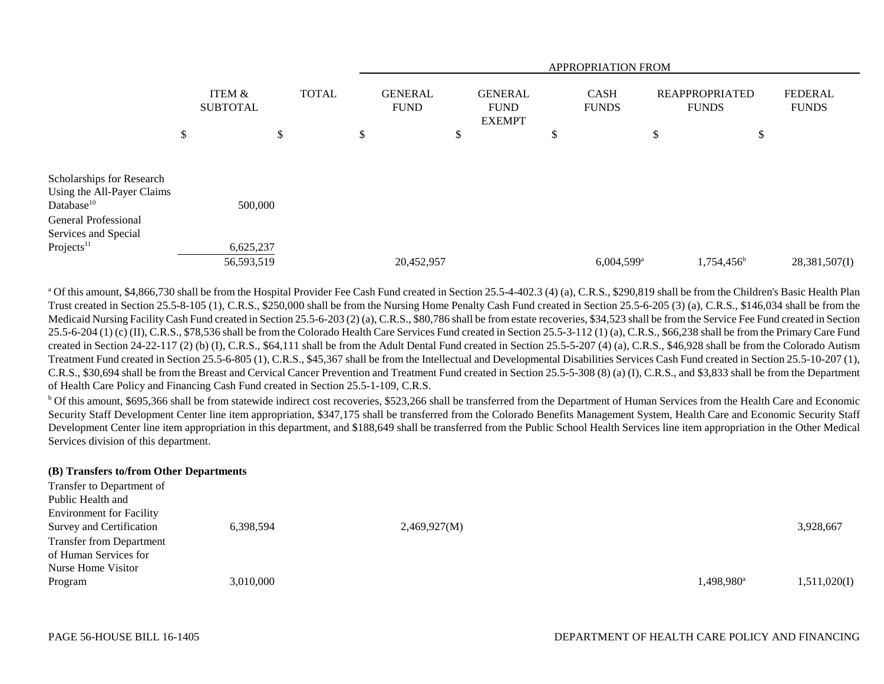|                                                                                                                                          |                                      |              |                               | <b>APPROPRIATION FROM</b> |                                                |  |                             |                          |                                       |               |                                |  |
|------------------------------------------------------------------------------------------------------------------------------------------|--------------------------------------|--------------|-------------------------------|---------------------------|------------------------------------------------|--|-----------------------------|--------------------------|---------------------------------------|---------------|--------------------------------|--|
|                                                                                                                                          | <b>ITEM &amp;</b><br><b>SUBTOTAL</b> | <b>TOTAL</b> | <b>GENERAL</b><br><b>FUND</b> |                           | <b>GENERAL</b><br><b>FUND</b><br><b>EXEMPT</b> |  | <b>CASH</b><br><b>FUNDS</b> |                          | <b>REAPPROPRIATED</b><br><b>FUNDS</b> |               | <b>FEDERAL</b><br><b>FUNDS</b> |  |
|                                                                                                                                          | \$<br>\$                             |              | \$                            |                           | \$                                             |  | \$                          |                          | Ф                                     | \$            |                                |  |
| Scholarships for Research<br>Using the All-Payer Claims<br>Database <sup>10</sup><br><b>General Professional</b><br>Services and Special | 500,000                              |              |                               |                           |                                                |  |                             |                          |                                       |               |                                |  |
| Projects <sup>11</sup>                                                                                                                   | 6,625,237                            |              |                               |                           |                                                |  |                             |                          |                                       |               |                                |  |
|                                                                                                                                          | 56,593,519                           |              |                               | 20,452,957                |                                                |  |                             | $6,004,599$ <sup>a</sup> |                                       | $1,754,456^b$ | 28,381,507(I)                  |  |

<sup>a</sup> Of this amount, \$4,866,730 shall be from the Hospital Provider Fee Cash Fund created in Section 25.5-4-402.3 (4) (a), C.R.S., \$290,819 shall be from the Children's Basic Health Plan Trust created in Section 25.5-8-105 (1), C.R.S., \$250,000 shall be from the Nursing Home Penalty Cash Fund created in Section 25.5-6-205 (3) (a), C.R.S., \$146,034 shall be from the Medicaid Nursing Facility Cash Fund created in Section 25.5-6-203 (2) (a), C.R.S., \$80,786 shall be from estate recoveries, \$34,523 shall be from the Service Fee Fund created in Section 25.5-6-204 (1) (c) (II), C.R.S., \$78,536 shall be from the Colorado Health Care Services Fund created in Section 25.5-3-112 (1) (a), C.R.S., \$66,238 shall be from the Primary Care Fund created in Section 24-22-117 (2) (b) (I), C.R.S., \$64,111 shall be from the Adult Dental Fund created in Section 25.5-5-207 (4) (a), C.R.S., \$46,928 shall be from the Colorado Autism Treatment Fund created in Section 25.5-6-805 (1), C.R.S., \$45,367 shall be from the Intellectual and Developmental Disabilities Services Cash Fund created in Section 25.5-10-207 (1), C.R.S., \$30,694 shall be from the Breast and Cervical Cancer Prevention and Treatment Fund created in Section 25.5-5-308 (8) (a) (I), C.R.S., and \$3,833 shall be from the Department of Health Care Policy and Financing Cash Fund created in Section 25.5-1-109, C.R.S.

<sup>b</sup> Of this amount, \$695,366 shall be from statewide indirect cost recoveries, \$523,266 shall be transferred from the Department of Human Services from the Health Care and Economic Security Staff Development Center line item appropriation, \$347,175 shall be transferred from the Colorado Benefits Management System, Health Care and Economic Security Staff Development Center line item appropriation in this department, and \$188,649 shall be transferred from the Public School Health Services line item appropriation in the Other Medical Services division of this department.

#### **(B) Transfers to/from Other Departments**

|                        | 3,928,667    |
|------------------------|--------------|
|                        |              |
|                        |              |
|                        |              |
| 1,498,980 <sup>a</sup> | 1,511,020(I) |
|                        |              |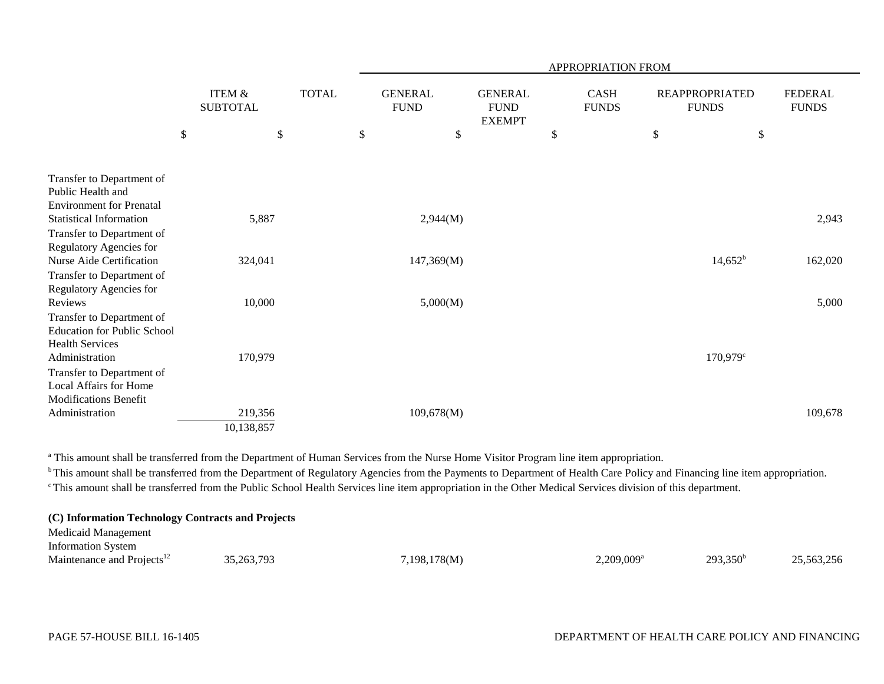|                                                                                            |                           |                                      | <b>APPROPRIATION FROM</b> |  |              |            |                               |               |    |                      |                                       |    |                                |
|--------------------------------------------------------------------------------------------|---------------------------|--------------------------------------|---------------------------|--|--------------|------------|-------------------------------|---------------|----|----------------------|---------------------------------------|----|--------------------------------|
|                                                                                            |                           | <b>ITEM &amp;</b><br><b>SUBTOTAL</b> |                           |  | <b>TOTAL</b> |            | <b>GENERAL</b><br><b>FUND</b> |               |    | CASH<br><b>FUNDS</b> | <b>REAPPROPRIATED</b><br><b>FUNDS</b> |    | <b>FEDERAL</b><br><b>FUNDS</b> |
|                                                                                            | $\boldsymbol{\mathsf{S}}$ |                                      | $\mathcal{S}$             |  | $\$$         |            | $\boldsymbol{\mathsf{S}}$     | <b>EXEMPT</b> | \$ |                      | \$                                    | \$ |                                |
| Transfer to Department of<br>Public Health and<br><b>Environment for Prenatal</b>          |                           |                                      |                           |  |              |            |                               |               |    |                      |                                       |    |                                |
| <b>Statistical Information</b>                                                             |                           | 5,887                                |                           |  |              | 2,944(M)   |                               |               |    |                      |                                       |    | 2,943                          |
| Transfer to Department of<br>Regulatory Agencies for<br>Nurse Aide Certification           |                           | 324,041                              |                           |  |              | 147,369(M) |                               |               |    |                      | $14,652^b$                            |    | 162,020                        |
| Transfer to Department of<br>Regulatory Agencies for                                       |                           |                                      |                           |  |              |            |                               |               |    |                      |                                       |    |                                |
| Reviews                                                                                    |                           | 10,000                               |                           |  |              | 5,000(M)   |                               |               |    |                      |                                       |    | 5,000                          |
| Transfer to Department of<br><b>Education for Public School</b><br><b>Health Services</b>  |                           |                                      |                           |  |              |            |                               |               |    |                      |                                       |    |                                |
| Administration                                                                             |                           | 170,979                              |                           |  |              |            |                               |               |    |                      | $170,979^{\circ}$                     |    |                                |
| Transfer to Department of<br><b>Local Affairs for Home</b><br><b>Modifications Benefit</b> |                           |                                      |                           |  |              |            |                               |               |    |                      |                                       |    |                                |
| Administration                                                                             |                           | 219,356                              |                           |  |              | 109,678(M) |                               |               |    |                      |                                       |    | 109,678                        |
|                                                                                            |                           | 10,138,857                           |                           |  |              |            |                               |               |    |                      |                                       |    |                                |

<sup>a</sup> This amount shall be transferred from the Department of Human Services from the Nurse Home Visitor Program line item appropriation.

<sup>b</sup> This amount shall be transferred from the Department of Regulatory Agencies from the Payments to Department of Health Care Policy and Financing line item appropriation. c This amount shall be transferred from the Public School Health Services line item appropriation in the Other Medical Services division of this department.

| (C) Information Technology Contracts and Projects |              |              |                          |             |            |
|---------------------------------------------------|--------------|--------------|--------------------------|-------------|------------|
| Medicaid Management                               |              |              |                          |             |            |
| <b>Information System</b>                         |              |              |                          |             |            |
| Maintenance and Projects <sup>12</sup>            | 35, 263, 793 | 7,198,178(M) | $2,209,009$ <sup>a</sup> | $293,350^b$ | 25,563,256 |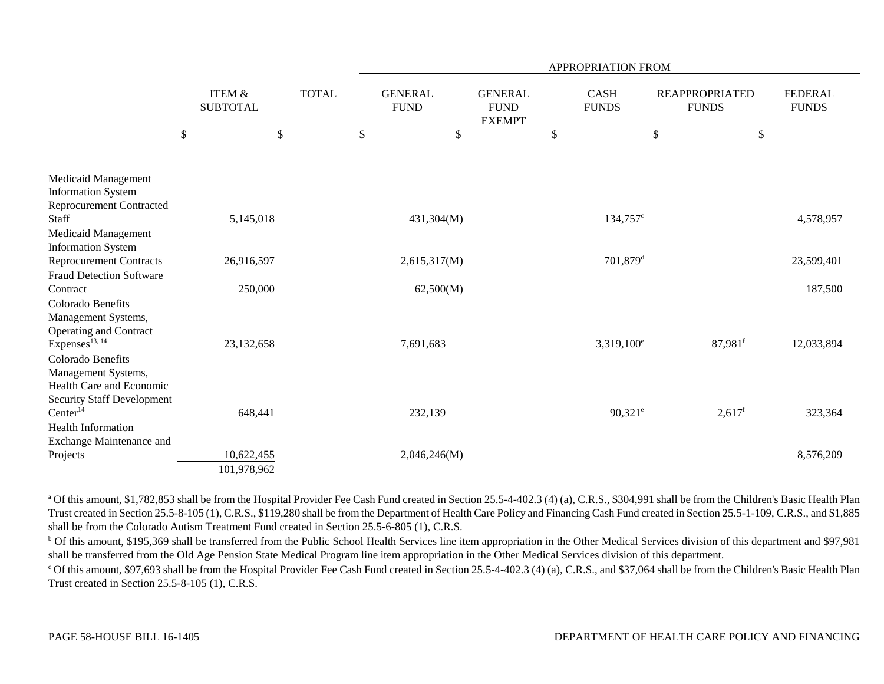|                                                                                                           |      |                                      |              |    |                               |      |                                                |                                   | <b>APPROPRIATION FROM</b> |                                             |                    |      |                                |
|-----------------------------------------------------------------------------------------------------------|------|--------------------------------------|--------------|----|-------------------------------|------|------------------------------------------------|-----------------------------------|---------------------------|---------------------------------------------|--------------------|------|--------------------------------|
|                                                                                                           |      | <b>ITEM &amp;</b><br><b>SUBTOTAL</b> | <b>TOTAL</b> |    | <b>GENERAL</b><br><b>FUND</b> |      | <b>GENERAL</b><br><b>FUND</b><br><b>EXEMPT</b> | <b>CASH</b><br><b>FUNDS</b><br>\$ |                           | <b>REAPPROPRIATED</b><br><b>FUNDS</b><br>\$ |                    |      | <b>FEDERAL</b><br><b>FUNDS</b> |
|                                                                                                           | $\$$ | \$                                   |              | \$ |                               | $\$$ |                                                |                                   |                           |                                             |                    | $\$$ |                                |
| Medicaid Management<br><b>Information System</b><br><b>Reprocurement Contracted</b>                       |      |                                      |              |    |                               |      |                                                |                                   |                           |                                             |                    |      |                                |
| Staff                                                                                                     |      | 5,145,018                            |              |    | 431,304(M)                    |      |                                                |                                   | 134,757 <sup>c</sup>      |                                             |                    |      | 4,578,957                      |
| Medicaid Management                                                                                       |      |                                      |              |    |                               |      |                                                |                                   |                           |                                             |                    |      |                                |
| <b>Information System</b>                                                                                 |      |                                      |              |    |                               |      |                                                |                                   |                           |                                             |                    |      |                                |
| <b>Reprocurement Contracts</b>                                                                            |      | 26,916,597                           |              |    | 2,615,317(M)                  |      |                                                |                                   | $701,879$ <sup>d</sup>    |                                             |                    |      | 23,599,401                     |
| <b>Fraud Detection Software</b><br>Contract                                                               |      | 250,000                              |              |    | 62,500(M)                     |      |                                                |                                   |                           |                                             |                    |      | 187,500                        |
| Colorado Benefits<br>Management Systems,                                                                  |      |                                      |              |    |                               |      |                                                |                                   |                           |                                             |                    |      |                                |
| <b>Operating and Contract</b><br>Expenses <sup>13, 14</sup>                                               |      | 23,132,658                           |              |    | 7,691,683                     |      |                                                |                                   | $3,319,100^e$             |                                             | 87,981f            |      | 12,033,894                     |
| Colorado Benefits<br>Management Systems,<br>Health Care and Economic<br><b>Security Staff Development</b> |      |                                      |              |    |                               |      |                                                |                                   |                           |                                             |                    |      |                                |
| Center <sup>14</sup>                                                                                      |      | 648,441                              |              |    | 232,139                       |      |                                                |                                   | $90,321^e$                |                                             | 2,617 <sup>f</sup> |      | 323,364                        |
| <b>Health Information</b><br>Exchange Maintenance and                                                     |      |                                      |              |    |                               |      |                                                |                                   |                           |                                             |                    |      |                                |
| Projects                                                                                                  |      | 10,622,455                           |              |    | 2,046,246(M)                  |      |                                                |                                   |                           |                                             |                    |      | 8,576,209                      |
|                                                                                                           |      | 101,978,962                          |              |    |                               |      |                                                |                                   |                           |                                             |                    |      |                                |

<sup>a</sup> Of this amount, \$1,782,853 shall be from the Hospital Provider Fee Cash Fund created in Section 25.5-4-402.3 (4) (a), C.R.S., \$304,991 shall be from the Children's Basic Health Plan Trust created in Section 25.5-8-105 (1), C.R.S., \$119,280 shall be from the Department of Health Care Policy and Financing Cash Fund created in Section 25.5-1-109, C.R.S., and \$1,885 shall be from the Colorado Autism Treatment Fund created in Section 25.5-6-805 (1), C.R.S.

<sup>b</sup> Of this amount, \$195,369 shall be transferred from the Public School Health Services line item appropriation in the Other Medical Services division of this department and \$97,981 shall be transferred from the Old Age Pension State Medical Program line item appropriation in the Other Medical Services division of this department.

 $^{\circ}$  Of this amount, \$97,693 shall be from the Hospital Provider Fee Cash Fund created in Section 25.5-4-402.3 (4) (a), C.R.S., and \$37,064 shall be from the Children's Basic Health Plan Trust created in Section 25.5-8-105 (1), C.R.S.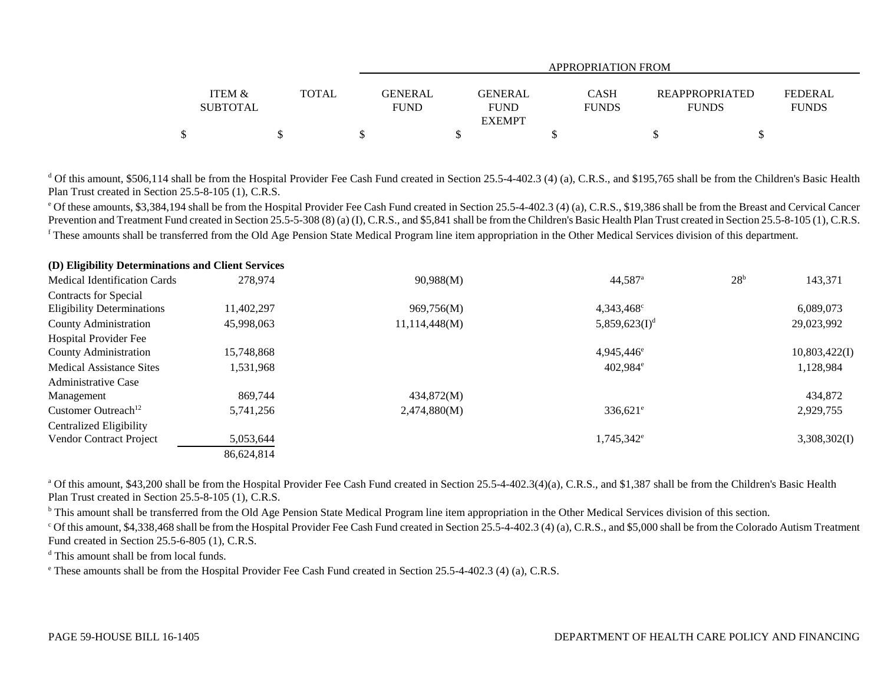|                           |              |                        | APPROPRIATION FROM                             |                             |                                       |                                |  |  |  |  |  |  |
|---------------------------|--------------|------------------------|------------------------------------------------|-----------------------------|---------------------------------------|--------------------------------|--|--|--|--|--|--|
| ITEM &<br><b>SUBTOTAL</b> | <b>TOTAL</b> | GENERAL<br><b>FUND</b> | <b>GENERAL</b><br><b>FUND</b><br><b>EXEMPT</b> | <b>CASH</b><br><b>FUNDS</b> | <b>REAPPROPRIATED</b><br><b>FUNDS</b> | <b>FEDERAL</b><br><b>FUNDS</b> |  |  |  |  |  |  |
|                           |              |                        |                                                |                             |                                       |                                |  |  |  |  |  |  |

 $d$  Of this amount, \$506,114 shall be from the Hospital Provider Fee Cash Fund created in Section 25.5-4-402.3 (4) (a), C.R.S., and \$195,765 shall be from the Children's Basic Health Plan Trust created in Section 25.5-8-105 (1), C.R.S.

e Of these amounts, \$3,384,194 shall be from the Hospital Provider Fee Cash Fund created in Section 25.5-4-402.3 (4) (a), C.R.S., \$19,386 shall be from the Breast and Cervical Cancer Prevention and Treatment Fund created in Section 25.5-5-308 (8) (a) (I), C.R.S., and \$5,841 shall be from the Children's Basic Health Plan Trust created in Section 25.5-8-105 (1), C.R.S. <sup>f</sup> These amounts shall be transferred from the Old Age Pension State Medical Program line item appropriation in the Other Medical Services division of this department.

| (D) Eligibility Determinations and Client Services |            |               |                           |                 |               |
|----------------------------------------------------|------------|---------------|---------------------------|-----------------|---------------|
| <b>Medical Identification Cards</b>                | 278,974    | 90,988(M)     | $44,587$ <sup>a</sup>     | 28 <sup>b</sup> | 143,371       |
| <b>Contracts for Special</b>                       |            |               |                           |                 |               |
| <b>Eligibility Determinations</b>                  | 11,402,297 | 969,756(M)    | 4,343,468 <sup>c</sup>    |                 | 6,089,073     |
| County Administration                              | 45,998,063 | 11,114,448(M) | 5,859,623(I) <sup>d</sup> |                 | 29,023,992    |
| Hospital Provider Fee                              |            |               |                           |                 |               |
| County Administration                              | 15.748.868 |               | $4.945.446^{\circ}$       |                 | 10,803,422(I) |
| <b>Medical Assistance Sites</b>                    | 1,531,968  |               | $402.984$ <sup>e</sup>    |                 | 1,128,984     |
| <b>Administrative Case</b>                         |            |               |                           |                 |               |
| Management                                         | 869,744    | 434,872(M)    |                           |                 | 434,872       |
| Customer Outreach <sup>12</sup>                    | 5.741.256  | 2,474,880(M)  | $336,621$ <sup>e</sup>    |                 | 2,929,755     |
| <b>Centralized Eligibility</b>                     |            |               |                           |                 |               |
| <b>Vendor Contract Project</b>                     | 5,053,644  |               | 1,745,342 <sup>e</sup>    |                 | 3,308,302(I)  |
|                                                    | 86,624,814 |               |                           |                 |               |
|                                                    |            |               |                           |                 |               |

<sup>a</sup> Of this amount, \$43,200 shall be from the Hospital Provider Fee Cash Fund created in Section 25.5-4-402.3(4)(a), C.R.S., and \$1,387 shall be from the Children's Basic Health Plan Trust created in Section 25.5-8-105 (1), C.R.S.

<sup>b</sup> This amount shall be transferred from the Old Age Pension State Medical Program line item appropriation in the Other Medical Services division of this section.

<sup>c</sup> Of this amount, \$4,338,468 shall be from the Hospital Provider Fee Cash Fund created in Section 25.5-4-402.3 (4) (a), C.R.S., and \$5,000 shall be from the Colorado Autism Treatment Fund created in Section 25.5-6-805 (1), C.R.S.

<sup>d</sup> This amount shall be from local funds.

e These amounts shall be from the Hospital Provider Fee Cash Fund created in Section 25.5-4-402.3 (4) (a), C.R.S.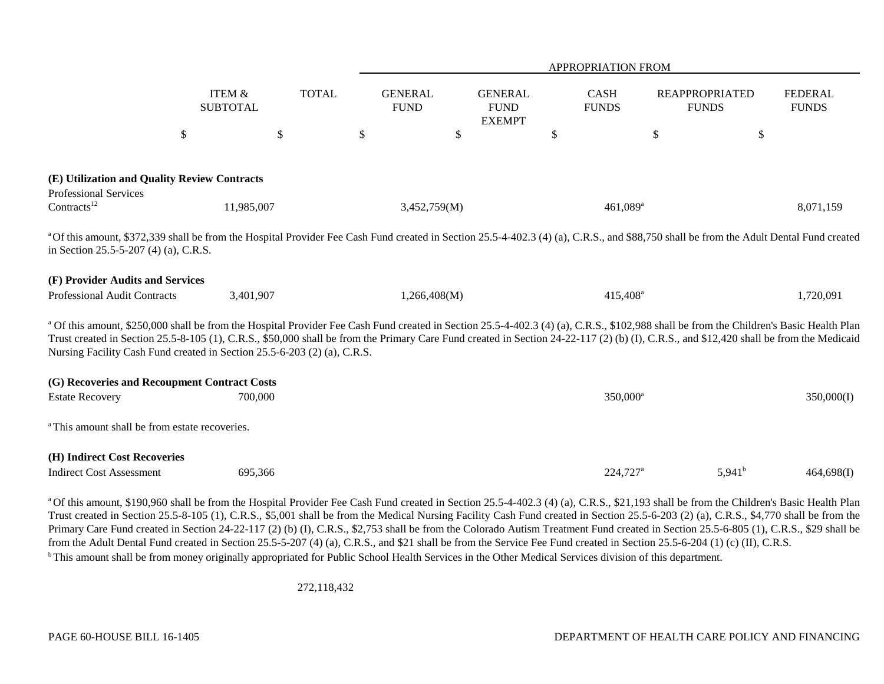|                                                                                                                                                                                       |                                      |              |                               |                                                | <b>APPROPRIATION FROM</b>   |                                                                                                                                                                                                                                                                                                                                                                                    |                                |
|---------------------------------------------------------------------------------------------------------------------------------------------------------------------------------------|--------------------------------------|--------------|-------------------------------|------------------------------------------------|-----------------------------|------------------------------------------------------------------------------------------------------------------------------------------------------------------------------------------------------------------------------------------------------------------------------------------------------------------------------------------------------------------------------------|--------------------------------|
|                                                                                                                                                                                       | <b>ITEM &amp;</b><br><b>SUBTOTAL</b> | <b>TOTAL</b> | <b>GENERAL</b><br><b>FUND</b> | <b>GENERAL</b><br><b>FUND</b><br><b>EXEMPT</b> | <b>CASH</b><br><b>FUNDS</b> | <b>REAPPROPRIATED</b><br><b>FUNDS</b>                                                                                                                                                                                                                                                                                                                                              | <b>FEDERAL</b><br><b>FUNDS</b> |
|                                                                                                                                                                                       | \$                                   | $\mathbb{S}$ | \$                            | $\mathbb{S}$                                   | \$                          | \$                                                                                                                                                                                                                                                                                                                                                                                 | \$                             |
| (E) Utilization and Quality Review Contracts<br>Professional Services                                                                                                                 |                                      |              |                               |                                                |                             |                                                                                                                                                                                                                                                                                                                                                                                    |                                |
| Contracts <sup>12</sup>                                                                                                                                                               | 11,985,007                           |              | 3,452,759(M)                  |                                                | $461,089$ <sup>a</sup>      |                                                                                                                                                                                                                                                                                                                                                                                    | 8,071,159                      |
| in Section 25.5-5-207 (4) (a), C.R.S.                                                                                                                                                 |                                      |              |                               |                                                |                             | a Of this amount, \$372,339 shall be from the Hospital Provider Fee Cash Fund created in Section 25.5-4-402.3 (4) (a), C.R.S., and \$88,750 shall be from the Adult Dental Fund created                                                                                                                                                                                            |                                |
| (F) Provider Audits and Services                                                                                                                                                      |                                      |              |                               |                                                |                             |                                                                                                                                                                                                                                                                                                                                                                                    |                                |
| Professional Audit Contracts                                                                                                                                                          | 3,401,907                            |              | 1,266,408(M)                  |                                                | 415,408 <sup>a</sup>        |                                                                                                                                                                                                                                                                                                                                                                                    | 1,720,091                      |
| Nursing Facility Cash Fund created in Section 25.5-6-203 (2) (a), C.R.S.                                                                                                              |                                      |              |                               |                                                |                             | a Of this amount, \$250,000 shall be from the Hospital Provider Fee Cash Fund created in Section 25.5-4-402.3 (4) (a), C.R.S., \$102,988 shall be from the Children's Basic Health Plan<br>Trust created in Section 25.5-8-105 (1), C.R.S., \$50,000 shall be from the Primary Care Fund created in Section 24-22-117 (2) (b) (I), C.R.S., and \$12,420 shall be from the Medicaid |                                |
| (G) Recoveries and Recoupment Contract Costs                                                                                                                                          |                                      |              |                               |                                                |                             |                                                                                                                                                                                                                                                                                                                                                                                    |                                |
| <b>Estate Recovery</b>                                                                                                                                                                | 700,000                              |              |                               |                                                | 350,000 <sup>a</sup>        |                                                                                                                                                                                                                                                                                                                                                                                    | 350,000(I)                     |
| <sup>a</sup> This amount shall be from estate recoveries.                                                                                                                             |                                      |              |                               |                                                |                             |                                                                                                                                                                                                                                                                                                                                                                                    |                                |
| (H) Indirect Cost Recoveries                                                                                                                                                          |                                      |              |                               |                                                |                             |                                                                                                                                                                                                                                                                                                                                                                                    |                                |
| <b>Indirect Cost Assessment</b>                                                                                                                                                       | 695,366                              |              |                               |                                                | 224,727 <sup>a</sup>        | $5,941^{\rm b}$                                                                                                                                                                                                                                                                                                                                                                    | 464,698(I)                     |
| Primary Care Fund created in Section 24-22-117 (2) (b) (I), C.R.S., \$2,753 shall be from the Colorado Autism Treatment Fund created in Section 25.5-6-805 (1), C.R.S., \$29 shall be |                                      |              |                               |                                                |                             | a Of this amount, \$190,960 shall be from the Hospital Provider Fee Cash Fund created in Section 25.5-4-402.3 (4) (a), C.R.S., \$21,193 shall be from the Children's Basic Health Plan<br>Trust created in Section 25.5-8-105 (1), C.R.S., \$5,001 shall be from the Medical Nursing Facility Cash Fund created in Section 25.5-6-203 (2) (a), C.R.S., \$4,770 shall be from the   |                                |

from the Adult Dental Fund created in Section 25.5-5-207 (4) (a), C.R.S., and \$21 shall be from the Service Fee Fund created in Section 25.5-6-204 (1) (c) (II), C.R.S.

<sup>b</sup> This amount shall be from money originally appropriated for Public School Health Services in the Other Medical Services division of this department.

272,118,432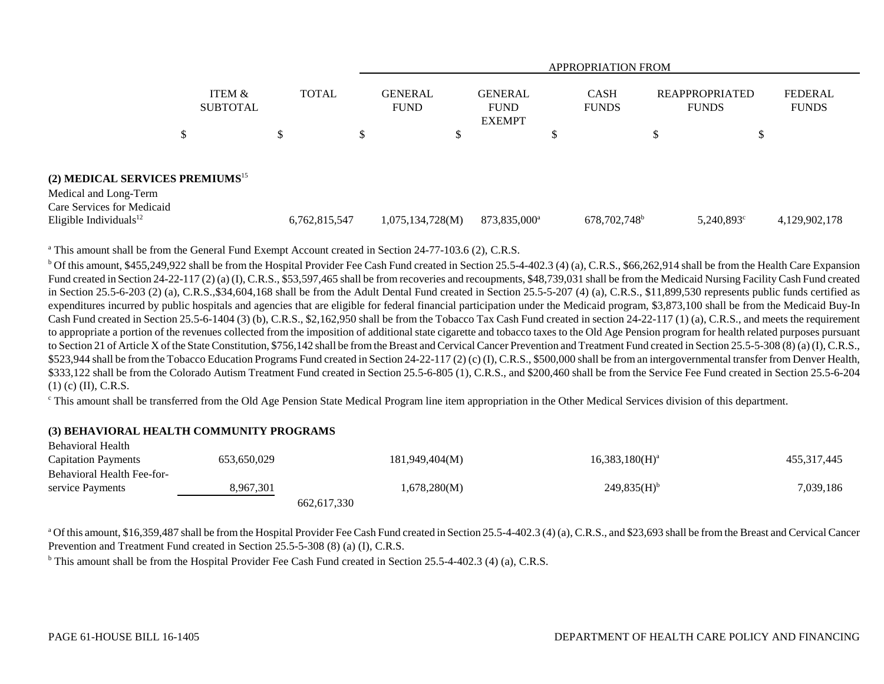|                                                                                                    |               |                               |                                                | APPROPRIATION FROM          |                                       |                                |
|----------------------------------------------------------------------------------------------------|---------------|-------------------------------|------------------------------------------------|-----------------------------|---------------------------------------|--------------------------------|
| ITEM &<br><b>SUBTOTAL</b>                                                                          | <b>TOTAL</b>  | <b>GENERAL</b><br><b>FUND</b> | <b>GENERAL</b><br><b>FUND</b><br><b>EXEMPT</b> | <b>CASH</b><br><b>FUNDS</b> | <b>REAPPROPRIATED</b><br><b>FUNDS</b> | <b>FEDERAL</b><br><b>FUNDS</b> |
| \$                                                                                                 | \$            |                               | D                                              |                             | \$<br>\$                              |                                |
| (2) MEDICAL SERVICES PREMIUMS <sup>15</sup><br>Medical and Long-Term<br>Care Services for Medicaid |               |                               |                                                |                             |                                       |                                |
| Eligible Individuals <sup>12</sup>                                                                 | 6,762,815,547 | 1,075,134,728(M)              | 873,835,000 <sup>a</sup>                       | 678,702,748 <sup>b</sup>    | $5,240,893^{\circ}$                   | 4,129,902,178                  |

<sup>a</sup> This amount shall be from the General Fund Exempt Account created in Section 24-77-103.6 (2), C.R.S.

 $b$  Of this amount, \$455,249,922 shall be from the Hospital Provider Fee Cash Fund created in Section 25.5-4-402.3 (4) (a), C.R.S., \$66,262,914 shall be from the Health Care Expansion Fund created in Section 24-22-117 (2) (a) (I), C.R.S., \$53,597,465 shall be from recoveries and recoupments, \$48,739,031 shall be from the Medicaid Nursing Facility Cash Fund created in Section 25.5-6-203 (2) (a), C.R.S.,\$34,604,168 shall be from the Adult Dental Fund created in Section 25.5-5-207 (4) (a), C.R.S., \$11,899,530 represents public funds certified as expenditures incurred by public hospitals and agencies that are eligible for federal financial participation under the Medicaid program, \$3,873,100 shall be from the Medicaid Buy-In Cash Fund created in Section 25.5-6-1404 (3) (b), C.R.S., \$2,162,950 shall be from the Tobacco Tax Cash Fund created in section 24-22-117 (1) (a), C.R.S., and meets the requirement to appropriate a portion of the revenues collected from the imposition of additional state cigarette and tobacco taxes to the Old Age Pension program for health related purposes pursuant to Section 21 of Article X of the State Constitution, \$756,142 shall be from the Breast and Cervical Cancer Prevention and Treatment Fund created in Section 25.5-5-308 (8) (a) (I), C.R.S., \$523,944 shall be from the Tobacco Education Programs Fund created in Section 24-22-117 (2) (c) (I), C.R.S., \$500,000 shall be from an intergovernmental transfer from Denver Health, \$333,122 shall be from the Colorado Autism Treatment Fund created in Section 25.5-6-805 (1), C.R.S., and \$200,460 shall be from the Service Fee Fund created in Section 25.5-6-204 (1) (c) (II), C.R.S.

<sup>c</sup> This amount shall be transferred from the Old Age Pension State Medical Program line item appropriation in the Other Medical Services division of this department.

### **(3) BEHAVIORAL HEALTH COMMUNITY PROGRAMS**

| <b>Behavioral Health</b>   |             |                |                           |               |
|----------------------------|-------------|----------------|---------------------------|---------------|
| <b>Capitation Payments</b> | 653,650,029 | 181,949,404(M) | $16,383,180(H)^a$         | 455, 317, 445 |
| Behavioral Health Fee-for- |             |                |                           |               |
| service Payments           | 8,967,301   | 1,678,280(M)   | $249,835(H)$ <sup>b</sup> | 7,039,186     |
|                            |             | 662, 617, 330  |                           |               |

<sup>a</sup> Of this amount, \$16,359,487 shall be from the Hospital Provider Fee Cash Fund created in Section 25.5-4-402.3 (4) (a), C.R.S., and \$23,693 shall be from the Breast and Cervical Cancer Prevention and Treatment Fund created in Section 25.5-5-308 (8) (a) (I), C.R.S.

<sup>b</sup> This amount shall be from the Hospital Provider Fee Cash Fund created in Section 25.5-4-402.3 (4) (a), C.R.S.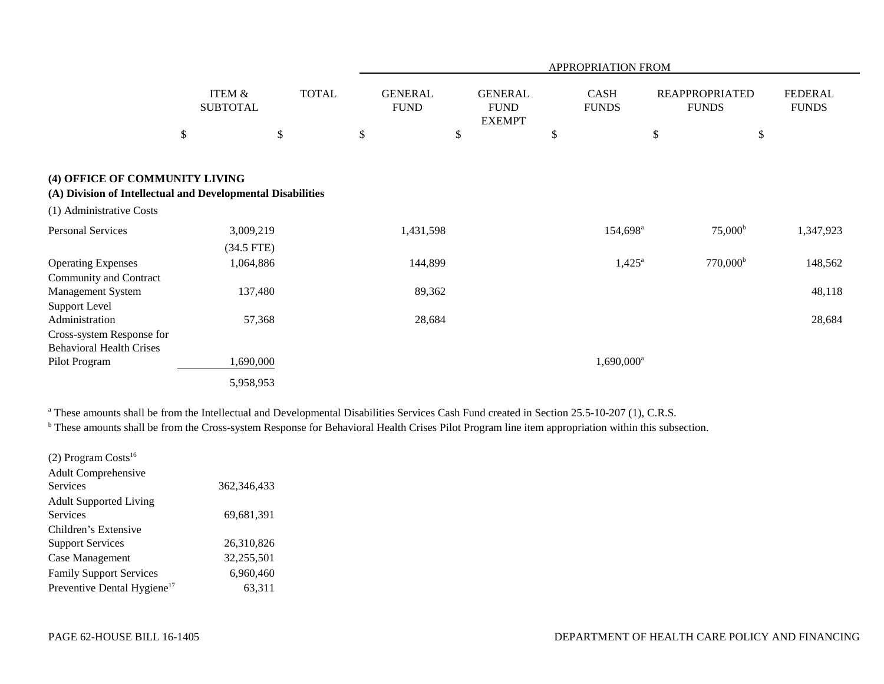|                                                                                               |                                      |              |                               |                                                | APPROPRIATION FROM          |                                       |                                |
|-----------------------------------------------------------------------------------------------|--------------------------------------|--------------|-------------------------------|------------------------------------------------|-----------------------------|---------------------------------------|--------------------------------|
|                                                                                               | <b>ITEM &amp;</b><br><b>SUBTOTAL</b> | <b>TOTAL</b> | <b>GENERAL</b><br><b>FUND</b> | <b>GENERAL</b><br><b>FUND</b><br><b>EXEMPT</b> | <b>CASH</b><br><b>FUNDS</b> | <b>REAPPROPRIATED</b><br><b>FUNDS</b> | <b>FEDERAL</b><br><b>FUNDS</b> |
|                                                                                               | $\$$                                 | \$           | \$                            | $\$$                                           | \$                          | \$                                    | $\$$                           |
| (4) OFFICE OF COMMUNITY LIVING<br>(A) Division of Intellectual and Developmental Disabilities |                                      |              |                               |                                                |                             |                                       |                                |
| (1) Administrative Costs                                                                      |                                      |              |                               |                                                |                             |                                       |                                |
| <b>Personal Services</b>                                                                      | 3,009,219                            |              | 1,431,598                     |                                                | 154,698 <sup>a</sup>        | $75,000^{\rm b}$                      | 1,347,923                      |
| <b>Operating Expenses</b><br>Community and Contract                                           | $(34.5$ FTE)<br>1,064,886            |              | 144,899                       |                                                | $1,425^{\rm a}$             | $770,000^{\rm b}$                     | 148,562                        |
| <b>Management System</b><br><b>Support Level</b>                                              | 137,480                              |              | 89,362                        |                                                |                             |                                       | 48,118                         |
| Administration                                                                                | 57,368                               |              | 28,684                        |                                                |                             |                                       | 28,684                         |
| Cross-system Response for<br><b>Behavioral Health Crises</b>                                  |                                      |              |                               |                                                |                             |                                       |                                |
| Pilot Program                                                                                 | 1,690,000                            |              |                               |                                                | $1,690,000^a$               |                                       |                                |
|                                                                                               | 5,958,953                            |              |                               |                                                |                             |                                       |                                |

<sup>a</sup> These amounts shall be from the Intellectual and Developmental Disabilities Services Cash Fund created in Section 25.5-10-207 (1), C.R.S.

<sup>b</sup> These amounts shall be from the Cross-system Response for Behavioral Health Crises Pilot Program line item appropriation within this subsection.

| $(2)$ Program Costs <sup>16</sup>       |               |
|-----------------------------------------|---------------|
| <b>Adult Comprehensive</b>              |               |
| Services                                | 362, 346, 433 |
| <b>Adult Supported Living</b>           |               |
| <b>Services</b>                         | 69,681,391    |
| Children's Extensive                    |               |
| <b>Support Services</b>                 | 26,310,826    |
| Case Management                         | 32,255,501    |
| <b>Family Support Services</b>          | 6,960,460     |
| Preventive Dental Hygiene <sup>17</sup> | 63,311        |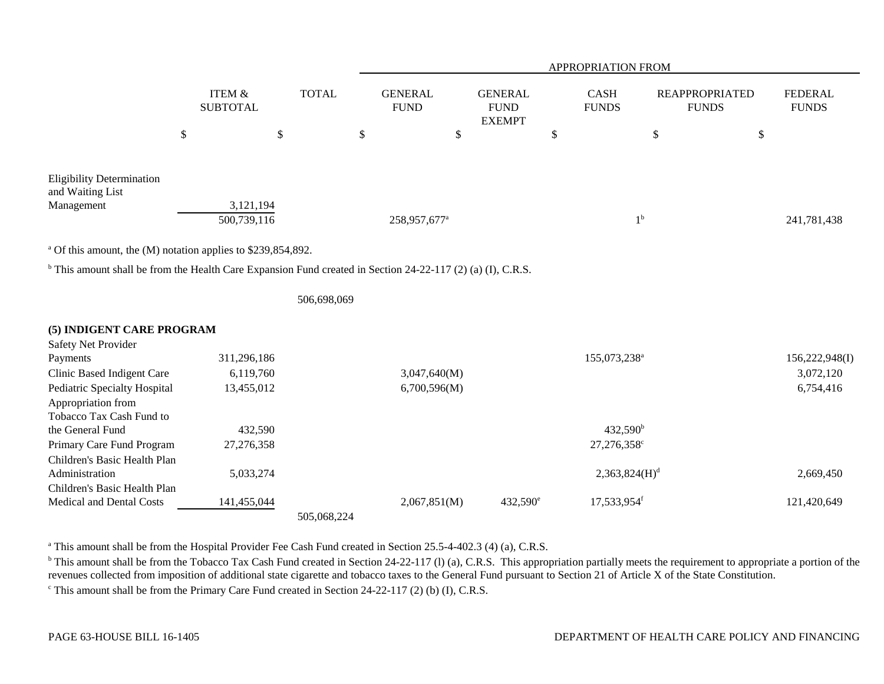|                                                                                                                        |                                      |              |                               |                                                |                           | <b>APPROPRIATION FROM</b>   |                                       |                                |
|------------------------------------------------------------------------------------------------------------------------|--------------------------------------|--------------|-------------------------------|------------------------------------------------|---------------------------|-----------------------------|---------------------------------------|--------------------------------|
|                                                                                                                        | <b>ITEM &amp;</b><br><b>SUBTOTAL</b> | <b>TOTAL</b> | <b>GENERAL</b><br><b>FUND</b> | <b>GENERAL</b><br><b>FUND</b><br><b>EXEMPT</b> |                           | <b>CASH</b><br><b>FUNDS</b> | <b>REAPPROPRIATED</b><br><b>FUNDS</b> | <b>FEDERAL</b><br><b>FUNDS</b> |
|                                                                                                                        | \$                                   | \$           | \$<br>\$                      |                                                | $\boldsymbol{\mathsf{S}}$ |                             | \$<br>\$                              |                                |
| <b>Eligibility Determination</b><br>and Waiting List<br>Management                                                     | 3,121,194<br>500,739,116             |              | 258,957,677 <sup>a</sup>      |                                                |                           | 1 <sup>b</sup>              |                                       | 241,781,438                    |
| <sup>a</sup> Of this amount, the (M) notation applies to \$239,854,892.                                                |                                      |              |                               |                                                |                           |                             |                                       |                                |
| <sup>b</sup> This amount shall be from the Health Care Expansion Fund created in Section 24-22-117 (2) (a) (I), C.R.S. |                                      |              |                               |                                                |                           |                             |                                       |                                |
|                                                                                                                        |                                      | 506,698,069  |                               |                                                |                           |                             |                                       |                                |
| (5) INDIGENT CARE PROGRAM                                                                                              |                                      |              |                               |                                                |                           |                             |                                       |                                |
| Safety Net Provider                                                                                                    |                                      |              |                               |                                                |                           |                             |                                       |                                |
| Payments<br>Clinic Based Indigent Care                                                                                 | 311,296,186<br>6,119,760             |              | 3,047,640(M)                  |                                                |                           | 155,073,238 <sup>a</sup>    |                                       | 156,222,948(I)<br>3,072,120    |
| <b>Pediatric Specialty Hospital</b>                                                                                    | 13,455,012                           |              | 6,700,596(M)                  |                                                |                           |                             |                                       | 6,754,416                      |
| Appropriation from<br>Tobacco Tax Cash Fund to                                                                         |                                      |              |                               |                                                |                           |                             |                                       |                                |
| the General Fund                                                                                                       | 432,590                              |              |                               |                                                |                           | $432,590^{\rm b}$           |                                       |                                |
| Primary Care Fund Program                                                                                              | 27,276,358                           |              |                               |                                                |                           | 27,276,358 <sup>c</sup>     |                                       |                                |
| Children's Basic Health Plan                                                                                           |                                      |              |                               |                                                |                           |                             |                                       |                                |
| Administration                                                                                                         | 5,033,274                            |              |                               |                                                |                           | 2,363,824(H) <sup>d</sup>   |                                       | 2,669,450                      |
| Children's Basic Health Plan                                                                                           |                                      |              |                               |                                                |                           |                             |                                       |                                |
| Medical and Dental Costs                                                                                               | 141,455,044                          |              | 2,067,851(M)                  | 432,590 <sup>e</sup>                           |                           | 17,533,954 <sup>f</sup>     |                                       | 121,420,649                    |
|                                                                                                                        |                                      | 505,068,224  |                               |                                                |                           |                             |                                       |                                |

<sup>a</sup> This amount shall be from the Hospital Provider Fee Cash Fund created in Section 25.5-4-402.3 (4) (a), C.R.S.

<sup>b</sup> This amount shall be from the Tobacco Tax Cash Fund created in Section 24-22-117 (l) (a), C.R.S. This appropriation partially meets the requirement to appropriate a portion of the revenues collected from imposition of additional state cigarette and tobacco taxes to the General Fund pursuant to Section 21 of Article X of the State Constitution.

<sup>c</sup> This amount shall be from the Primary Care Fund created in Section 24-22-117 (2) (b) (I), C.R.S.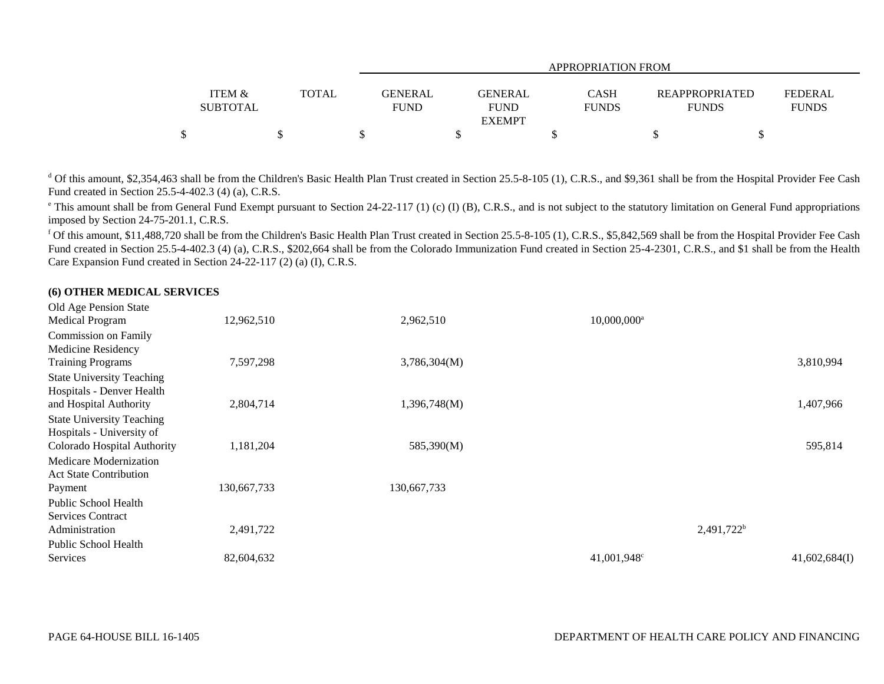|                   |              |                | APPROPRIATION FROM |              |                       |                |  |  |  |  |  |  |
|-------------------|--------------|----------------|--------------------|--------------|-----------------------|----------------|--|--|--|--|--|--|
| <b>ITEM &amp;</b> | <b>TOTAL</b> | <b>GENERAL</b> | <b>GENERAL</b>     | CASH         | <b>REAPPROPRIATED</b> | <b>FEDERAL</b> |  |  |  |  |  |  |
| <b>SUBTOTAL</b>   |              | <b>FUND</b>    | <b>FUND</b>        | <b>FUNDS</b> | <b>FUNDS</b>          | <b>FUNDS</b>   |  |  |  |  |  |  |
|                   |              |                | <b>EXEMPT</b>      |              |                       |                |  |  |  |  |  |  |
| \$                |              |                |                    |              |                       |                |  |  |  |  |  |  |

<sup>d</sup> Of this amount, \$2,354,463 shall be from the Children's Basic Health Plan Trust created in Section 25.5-8-105 (1), C.R.S., and \$9,361 shall be from the Hospital Provider Fee Cash Fund created in Section 25.5-4-402.3 (4) (a), C.R.S.

<sup>e</sup> This amount shall be from General Fund Exempt pursuant to Section 24-22-117 (1) (c) (I) (B), C.R.S., and is not subject to the statutory limitation on General Fund appropriations imposed by Section 24-75-201.1, C.R.S.

<sup>f</sup> Of this amount, \$11,488,720 shall be from the Children's Basic Health Plan Trust created in Section 25.5-8-105 (1), C.R.S., \$5,842,569 shall be from the Hospital Provider Fee Cash Fund created in Section 25.5-4-402.3 (4) (a), C.R.S., \$202,664 shall be from the Colorado Immunization Fund created in Section 25-4-2301, C.R.S., and \$1 shall be from the Health Care Expansion Fund created in Section 24-22-117 (2) (a) (I), C.R.S.

### **(6) OTHER MEDICAL SERVICES**

| Old Age Pension State            |             |              |                         |               |
|----------------------------------|-------------|--------------|-------------------------|---------------|
| <b>Medical Program</b>           | 12,962,510  | 2,962,510    | 10,000,000 <sup>a</sup> |               |
| Commission on Family             |             |              |                         |               |
| Medicine Residency               |             |              |                         |               |
| <b>Training Programs</b>         | 7,597,298   | 3,786,304(M) |                         | 3,810,994     |
| <b>State University Teaching</b> |             |              |                         |               |
| Hospitals - Denver Health        |             |              |                         |               |
| and Hospital Authority           | 2,804,714   | 1,396,748(M) |                         | 1,407,966     |
| <b>State University Teaching</b> |             |              |                         |               |
| Hospitals - University of        |             |              |                         |               |
| Colorado Hospital Authority      | 1,181,204   | 585,390(M)   |                         | 595,814       |
| Medicare Modernization           |             |              |                         |               |
| <b>Act State Contribution</b>    |             |              |                         |               |
| Payment                          | 130,667,733 | 130,667,733  |                         |               |
| Public School Health             |             |              |                         |               |
| <b>Services Contract</b>         |             |              |                         |               |
| Administration                   | 2,491,722   |              |                         | $2,491,722^b$ |
| Public School Health             |             |              |                         |               |
| Services                         | 82,604,632  |              | 41,001,948 <sup>c</sup> | 41,602,684(I) |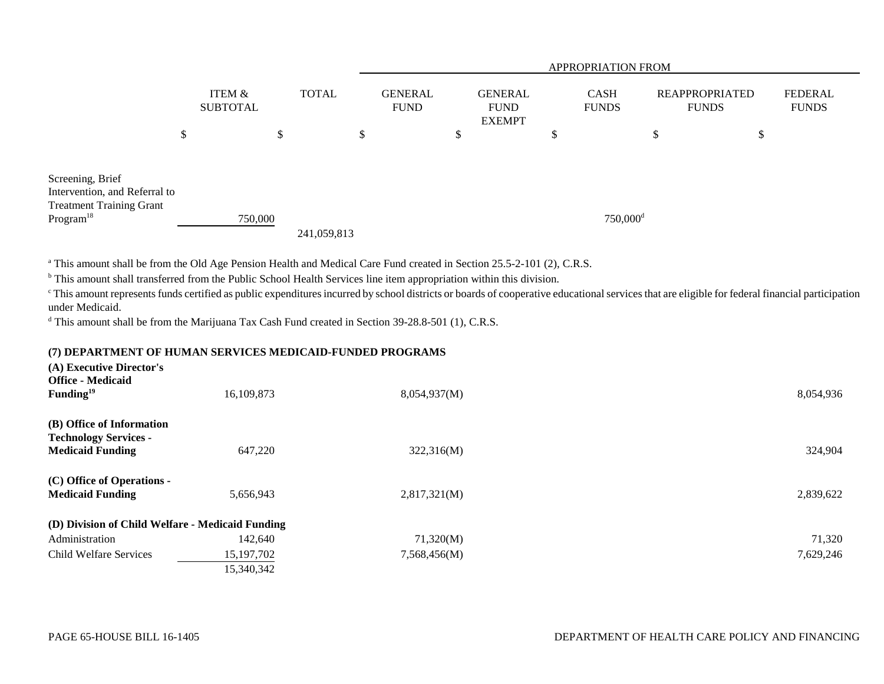|                                                                                                               |                           |        |              | <b>APPROPRIATION FROM</b>     |  |                                                |  |                             |                      |                                       |    |                                |
|---------------------------------------------------------------------------------------------------------------|---------------------------|--------|--------------|-------------------------------|--|------------------------------------------------|--|-----------------------------|----------------------|---------------------------------------|----|--------------------------------|
|                                                                                                               | ITEM &<br><b>SUBTOTAL</b> |        | <b>TOTAL</b> | <b>GENERAL</b><br><b>FUND</b> |  | <b>GENERAL</b><br><b>FUND</b><br><b>EXEMPT</b> |  | <b>CASH</b><br><b>FUNDS</b> |                      | <b>REAPPROPRIATED</b><br><b>FUNDS</b> |    | <b>FEDERAL</b><br><b>FUNDS</b> |
|                                                                                                               | \$                        | ₼<br>D | \$           |                               |  | S                                              |  | ۰D                          |                      | \$                                    | \$ |                                |
| Screening, Brief<br>Intervention, and Referral to<br><b>Treatment Training Grant</b><br>Program <sup>18</sup> | 750,000                   |        | 241,059,813  |                               |  |                                                |  |                             | 750,000 <sup>d</sup> |                                       |    |                                |

<sup>a</sup> This amount shall be from the Old Age Pension Health and Medical Care Fund created in Section 25.5-2-101 (2), C.R.S.

<sup>b</sup> This amount shall transferred from the Public School Health Services line item appropriation within this division.

<sup>c</sup> This amount represents funds certified as public expenditures incurred by school districts or boards of cooperative educational services that are eligible for federal financial participation under Medicaid.

<sup>d</sup> This amount shall be from the Marijuana Tax Cash Fund created in Section 39-28.8-501 (1), C.R.S.

# **(7) DEPARTMENT OF HUMAN SERVICES MEDICAID-FUNDED PROGRAMS**

| (A) Executive Director's<br><b>Office - Medicaid</b><br>Funding $19$                 | 16,109,873   | 8,054,937(M) | 8,054,936 |
|--------------------------------------------------------------------------------------|--------------|--------------|-----------|
| (B) Office of Information<br><b>Technology Services -</b><br><b>Medicaid Funding</b> | 647,220      | 322,316(M)   | 324,904   |
| (C) Office of Operations -<br><b>Medicaid Funding</b>                                | 5,656,943    | 2,817,321(M) | 2,839,622 |
| (D) Division of Child Welfare - Medicaid Funding                                     |              |              |           |
| Administration                                                                       | 142,640      | 71,320(M)    | 71,320    |
| Child Welfare Services                                                               | 15, 197, 702 | 7,568,456(M) | 7,629,246 |
|                                                                                      | 15,340,342   |              |           |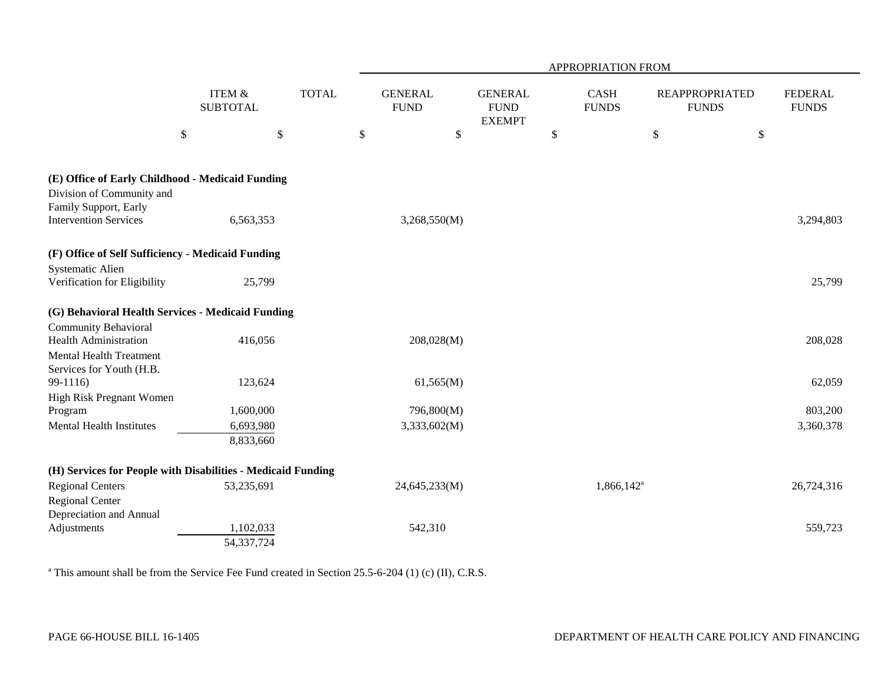|                                                                                                                           |                                      |              |      |                               |                                                |      | APPROPRIATION FROM       |                                       |                           |                                |
|---------------------------------------------------------------------------------------------------------------------------|--------------------------------------|--------------|------|-------------------------------|------------------------------------------------|------|--------------------------|---------------------------------------|---------------------------|--------------------------------|
|                                                                                                                           | <b>ITEM &amp;</b><br><b>SUBTOTAL</b> | <b>TOTAL</b> |      | <b>GENERAL</b><br><b>FUND</b> | <b>GENERAL</b><br><b>FUND</b><br><b>EXEMPT</b> |      | CASH<br><b>FUNDS</b>     | <b>REAPPROPRIATED</b><br><b>FUNDS</b> |                           | <b>FEDERAL</b><br><b>FUNDS</b> |
| \$                                                                                                                        | $\$$                                 |              | $\$$ | $\$$                          |                                                | $\$$ |                          | $\$\,$                                | $\boldsymbol{\mathsf{S}}$ |                                |
| (E) Office of Early Childhood - Medicaid Funding<br>Division of Community and                                             |                                      |              |      |                               |                                                |      |                          |                                       |                           |                                |
| Family Support, Early<br><b>Intervention Services</b>                                                                     | 6,563,353                            |              |      | 3,268,550(M)                  |                                                |      |                          |                                       |                           | 3,294,803                      |
| (F) Office of Self Sufficiency - Medicaid Funding                                                                         |                                      |              |      |                               |                                                |      |                          |                                       |                           |                                |
| <b>Systematic Alien</b><br>Verification for Eligibility                                                                   | 25,799                               |              |      |                               |                                                |      |                          |                                       |                           | 25,799                         |
| (G) Behavioral Health Services - Medicaid Funding                                                                         |                                      |              |      |                               |                                                |      |                          |                                       |                           |                                |
| <b>Community Behavioral</b><br><b>Health Administration</b><br><b>Mental Health Treatment</b><br>Services for Youth (H.B. | 416,056                              |              |      | 208,028(M)                    |                                                |      |                          |                                       |                           | 208,028                        |
| $99-1116$                                                                                                                 | 123,624                              |              |      | 61,565(M)                     |                                                |      |                          |                                       |                           | 62,059                         |
| High Risk Pregnant Women<br>Program<br><b>Mental Health Institutes</b>                                                    | 1,600,000<br>6,693,980<br>8,833,660  |              |      | 796,800(M)<br>3,333,602(M)    |                                                |      |                          |                                       |                           | 803,200<br>3,360,378           |
| (H) Services for People with Disabilities - Medicaid Funding                                                              |                                      |              |      |                               |                                                |      |                          |                                       |                           |                                |
| <b>Regional Centers</b><br><b>Regional Center</b><br>Depreciation and Annual                                              | 53,235,691                           |              |      | 24,645,233(M)                 |                                                |      | $1,866,142^{\mathrm{a}}$ |                                       |                           | 26,724,316                     |
| Adjustments                                                                                                               | 1,102,033<br>54,337,724              |              |      | 542,310                       |                                                |      |                          |                                       |                           | 559,723                        |

<sup>a</sup> This amount shall be from the Service Fee Fund created in Section 25.5-6-204 (1) (c) (II), C.R.S.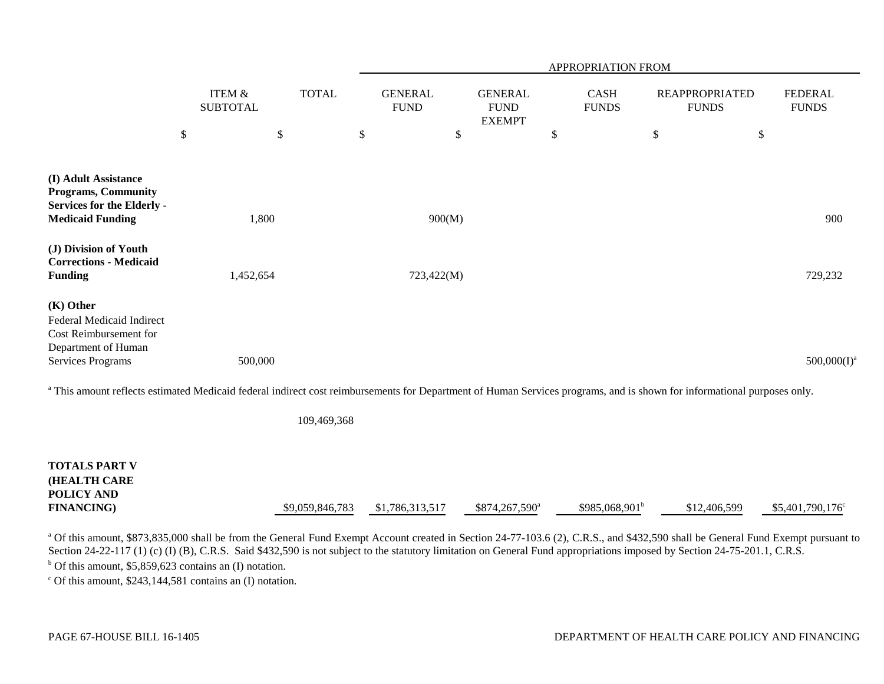|                                                                                                                                                                                    |                           |              | APPROPRIATION FROM            |                                                |    |                             |    |                                       |                                |  |
|------------------------------------------------------------------------------------------------------------------------------------------------------------------------------------|---------------------------|--------------|-------------------------------|------------------------------------------------|----|-----------------------------|----|---------------------------------------|--------------------------------|--|
|                                                                                                                                                                                    | ITEM &<br><b>SUBTOTAL</b> | <b>TOTAL</b> | <b>GENERAL</b><br><b>FUND</b> | <b>GENERAL</b><br><b>FUND</b><br><b>EXEMPT</b> |    | <b>CASH</b><br><b>FUNDS</b> |    | <b>REAPPROPRIATED</b><br><b>FUNDS</b> | <b>FEDERAL</b><br><b>FUNDS</b> |  |
|                                                                                                                                                                                    | \$                        | \$           | \$<br>\$                      |                                                | \$ |                             | \$ | \$                                    |                                |  |
| (I) Adult Assistance<br><b>Programs, Community</b><br><b>Services for the Elderly -</b><br><b>Medicaid Funding</b>                                                                 | 1,800                     |              | 900(M)                        |                                                |    |                             |    |                                       | 900                            |  |
| (J) Division of Youth<br><b>Corrections - Medicaid</b><br><b>Funding</b>                                                                                                           | 1,452,654                 |              | 723,422(M)                    |                                                |    |                             |    |                                       | 729,232                        |  |
| (K) Other<br>Federal Medicaid Indirect<br>Cost Reimbursement for<br>Department of Human<br>Services Programs                                                                       | 500,000                   |              |                               |                                                |    |                             |    |                                       | $500,000(I)^a$                 |  |
| <sup>a</sup> This amount reflects estimated Medicaid federal indirect cost reimbursements for Department of Human Services programs, and is shown for informational purposes only. |                           |              |                               |                                                |    |                             |    |                                       |                                |  |

109,469,368

| <b>TOTALS PART V</b> |                 |                 |                            |                  |              |                          |
|----------------------|-----------------|-----------------|----------------------------|------------------|--------------|--------------------------|
| <b>HEALTH CARE</b>   |                 |                 |                            |                  |              |                          |
| POLICY AND           |                 |                 |                            |                  |              |                          |
| <b>FINANCING</b> )   | \$9,059,846,783 | \$1,786,313,517 | \$874,267,590 <sup>a</sup> | $$985,068,901^b$ | \$12,406,599 | $$5,401,790,176^{\circ}$ |

<sup>a</sup> Of this amount, \$873,835,000 shall be from the General Fund Exempt Account created in Section 24-77-103.6 (2), C.R.S., and \$432,590 shall be General Fund Exempt pursuant to Section 24-22-117 (1) (c) (I) (B), C.R.S. Said \$432,590 is not subject to the statutory limitation on General Fund appropriations imposed by Section 24-75-201.1, C.R.S.

 $<sup>b</sup>$  Of this amount, \$5,859,623 contains an (I) notation.</sup>

 $\degree$  Of this amount, \$243,144,581 contains an (I) notation.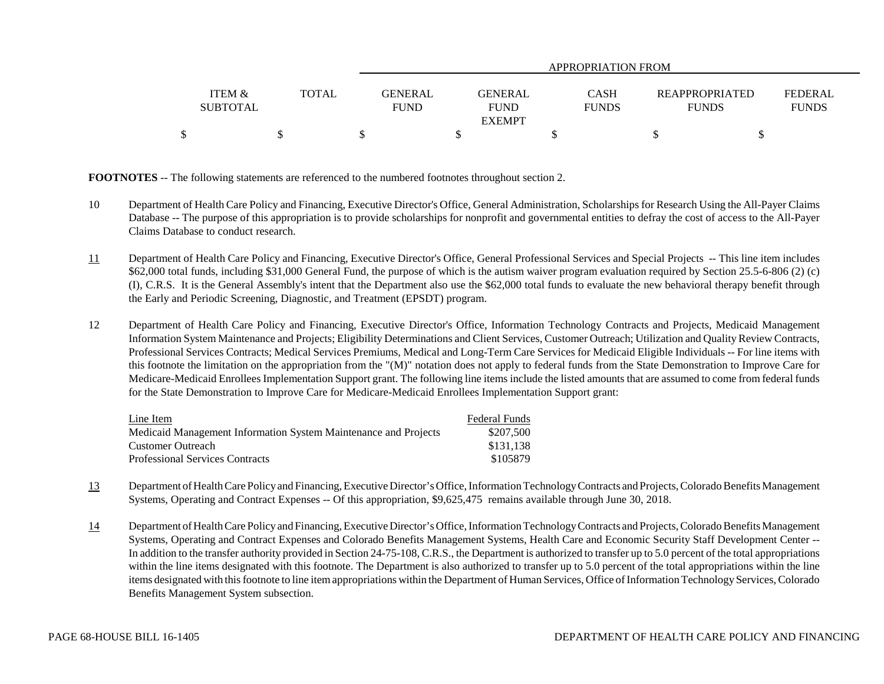|                                      |              | APPROPRIATION FROM            |                               |                             |                                       |                                |  |  |  |  |  |
|--------------------------------------|--------------|-------------------------------|-------------------------------|-----------------------------|---------------------------------------|--------------------------------|--|--|--|--|--|
| <b>ITEM &amp;</b><br><b>SUBTOTAL</b> | <b>TOTAL</b> | <b>GENERAL</b><br><b>FUND</b> | <b>GENERAL</b><br><b>FUND</b> | <b>CASH</b><br><b>FUNDS</b> | <b>REAPPROPRIATED</b><br><b>FUNDS</b> | <b>FEDERAL</b><br><b>FUNDS</b> |  |  |  |  |  |
|                                      |              |                               | <b>EXEMPT</b>                 |                             |                                       |                                |  |  |  |  |  |
|                                      |              |                               |                               |                             |                                       |                                |  |  |  |  |  |

**FOOTNOTES** -- The following statements are referenced to the numbered footnotes throughout section 2.

- 10 Department of Health Care Policy and Financing, Executive Director's Office, General Administration, Scholarships for Research Using the All-Payer Claims Database -- The purpose of this appropriation is to provide scholarships for nonprofit and governmental entities to defray the cost of access to the All-Payer Claims Database to conduct research.
- 11 Department of Health Care Policy and Financing, Executive Director's Office, General Professional Services and Special Projects -- This line item includes \$62,000 total funds, including \$31,000 General Fund, the purpose of which is the autism waiver program evaluation required by Section 25.5-6-806 (2) (c) (I), C.R.S. It is the General Assembly's intent that the Department also use the \$62,000 total funds to evaluate the new behavioral therapy benefit through the Early and Periodic Screening, Diagnostic, and Treatment (EPSDT) program.
- 12 Department of Health Care Policy and Financing, Executive Director's Office, Information Technology Contracts and Projects, Medicaid Management Information System Maintenance and Projects; Eligibility Determinations and Client Services, Customer Outreach; Utilization and Quality Review Contracts, Professional Services Contracts; Medical Services Premiums, Medical and Long-Term Care Services for Medicaid Eligible Individuals -- For line items with this footnote the limitation on the appropriation from the "(M)" notation does not apply to federal funds from the State Demonstration to Improve Care for Medicare-Medicaid Enrollees Implementation Support grant. The following line items include the listed amounts that are assumed to come from federal funds for the State Demonstration to Improve Care for Medicare-Medicaid Enrollees Implementation Support grant:

| Line Item                                                       | <b>Federal Funds</b> |
|-----------------------------------------------------------------|----------------------|
| Medicaid Management Information System Maintenance and Projects | \$207.500            |
| Customer Outreach                                               | \$131.138            |
| Professional Services Contracts                                 | \$105879             |

- 13 Department of Health Care Policy and Financing, Executive Director's Office, Information Technology Contracts and Projects, Colorado Benefits Management Systems, Operating and Contract Expenses -- Of this appropriation, \$9,625,475 remains available through June 30, 2018.
- 14 Department of Health Care Policy and Financing, Executive Director's Office, Information Technology Contracts and Projects, Colorado Benefits Management Systems, Operating and Contract Expenses and Colorado Benefits Management Systems, Health Care and Economic Security Staff Development Center -- In addition to the transfer authority provided in Section 24-75-108, C.R.S., the Department is authorized to transfer up to 5.0 percent of the total appropriations within the line items designated with this footnote. The Department is also authorized to transfer up to 5.0 percent of the total appropriations within the line items designated with this footnote to line item appropriations within the Department of Human Services, Office of Information Technology Services, Colorado Benefits Management System subsection.